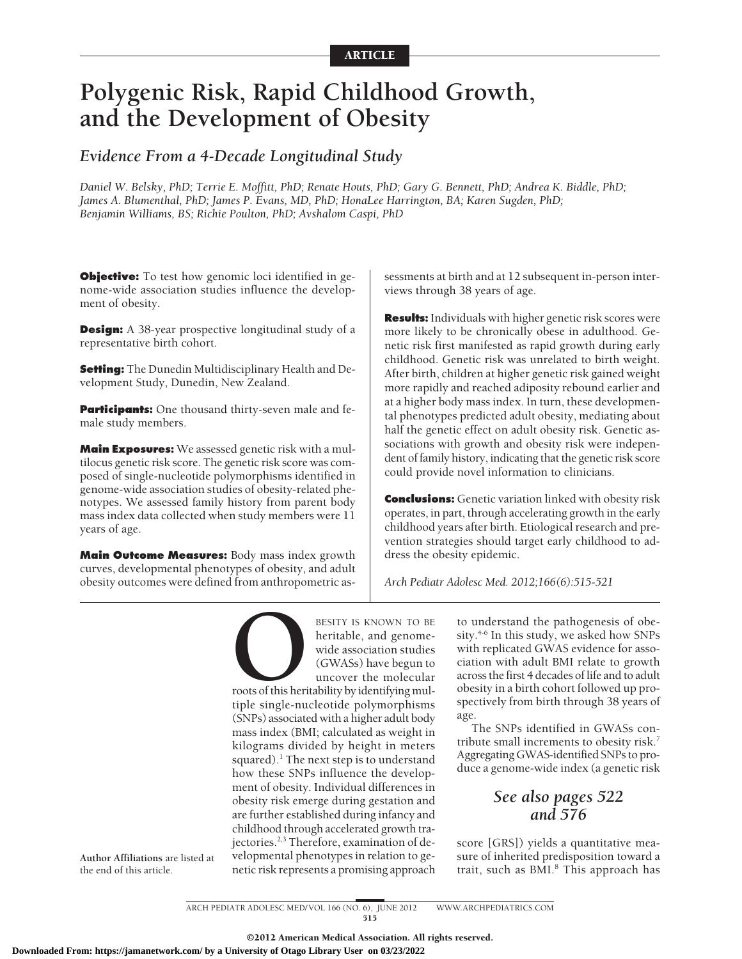# **Polygenic Risk, Rapid Childhood Growth, and the Development of Obesity**

# *Evidence From a 4-Decade Longitudinal Study*

*Daniel W. Belsky, PhD; Terrie E. Moffitt, PhD; Renate Houts, PhD; Gary G. Bennett, PhD; Andrea K. Biddle, PhD; James A. Blumenthal, PhD; James P. Evans, MD, PhD; HonaLee Harrington, BA; Karen Sugden, PhD; Benjamin Williams, BS; Richie Poulton, PhD; Avshalom Caspi, PhD*

**Objective:** To test how genomic loci identified in genome-wide association studies influence the development of obesity.

**Design:** A 38-year prospective longitudinal study of a representative birth cohort.

**Setting:** The Dunedin Multidisciplinary Health and Development Study, Dunedin, New Zealand.

**Participants:** One thousand thirty-seven male and female study members.

**Main Exposures:** We assessed genetic risk with a multilocus genetic risk score. The genetic risk score was composed of single-nucleotide polymorphisms identified in genome-wide association studies of obesity-related phenotypes. We assessed family history from parent body mass index data collected when study members were 11 years of age.

**Main Outcome Measures:** Body mass index growth curves, developmental phenotypes of obesity, and adult obesity outcomes were defined from anthropometric as-

sessments at birth and at 12 subsequent in-person interviews through 38 years of age.

**Results:** Individuals with higher genetic risk scores were more likely to be chronically obese in adulthood. Genetic risk first manifested as rapid growth during early childhood. Genetic risk was unrelated to birth weight. After birth, children at higher genetic risk gained weight more rapidly and reached adiposity rebound earlier and at a higher body mass index. In turn, these developmental phenotypes predicted adult obesity, mediating about half the genetic effect on adult obesity risk. Genetic associations with growth and obesity risk were independent of family history, indicating that the genetic risk score could provide novel information to clinicians.

**Conclusions:** Genetic variation linked with obesity risk operates, in part, through accelerating growth in the early childhood years after birth. Etiological research and prevention strategies should target early childhood to address the obesity epidemic.

*Arch Pediatr Adolesc Med. 2012;166(6):515-521*



**EVALUATE BESITY IS KNOWN TO BE<br>
heritable, and genome-<br>
wide association studies<br>
(GWASs) have begun to<br>
uncover the molecular<br>
roots of this heritability by identifying mul-<br>
tinle single-nucleotide polymorphisms** heritable, and genomewide association studies (GWASs) have begun to uncover the molecular

tiple single-nucleotide polymorphisms (SNPs) associated with a higher adult body mass index (BMI; calculated as weight in kilograms divided by height in meters squared).<sup>1</sup> The next step is to understand how these SNPs influence the development of obesity. Individual differences in obesity risk emerge during gestation and are further established during infancy and childhood through accelerated growth trajectories.<sup>2,3</sup> Therefore, examination of developmental phenotypes in relation to genetic risk represents a promising approach

to understand the pathogenesis of obesity.<sup>4-6</sup> In this study, we asked how SNPs with replicated GWAS evidence for association with adult BMI relate to growth across the first 4 decades of life and to adult obesity in a birth cohort followed up prospectively from birth through 38 years of age.

The SNPs identified in GWASs contribute small increments to obesity risk.7 Aggregating GWAS-identified SNPs to produce a genome-wide index (a genetic risk

# *See also pages 522 and 576*

score [GRS]) yields a quantitative measure of inherited predisposition toward a trait, such as BMI.<sup>8</sup> This approach has

**Author Affiliations** are listed at the end of this article.

> ARCH PEDIATR ADOLESC MED/ VOL 166 (NO. 6), JUNE 2012 WWW.ARCHPEDIATRICS.COM 515

> > ©2012 American Medical Association. All rights reserved.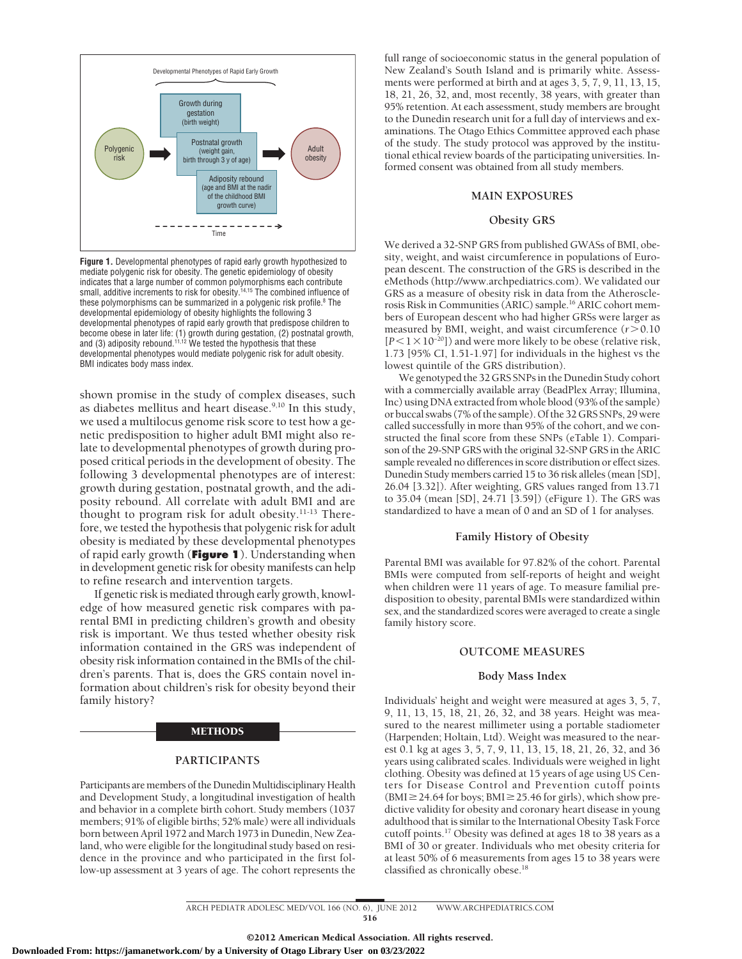

**Figure 1.** Developmental phenotypes of rapid early growth hypothesized to mediate polygenic risk for obesity. The genetic epidemiology of obesity indicates that a large number of common polymorphisms each contribute small, additive increments to risk for obesity.<sup>14,15</sup> The combined influence of these polymorphisms can be summarized in a polygenic risk profile.<sup>8</sup> The developmental epidemiology of obesity highlights the following 3 developmental phenotypes of rapid early growth that predispose children to become obese in later life: (1) growth during gestation, (2) postnatal growth, and (3) adiposity rebound.<sup>11,12</sup> We tested the hypothesis that these developmental phenotypes would mediate polygenic risk for adult obesity. BMI indicates body mass index.

shown promise in the study of complex diseases, such as diabetes mellitus and heart disease.<sup>9,10</sup> In this study, we used a multilocus genome risk score to test how a genetic predisposition to higher adult BMI might also relate to developmental phenotypes of growth during proposed critical periods in the development of obesity. The following 3 developmental phenotypes are of interest: growth during gestation, postnatal growth, and the adiposity rebound. All correlate with adult BMI and are thought to program risk for adult obesity.<sup>11-13</sup> Therefore, we tested the hypothesis that polygenic risk for adult obesity is mediated by these developmental phenotypes of rapid early growth (**Figure 1**). Understanding when in development genetic risk for obesity manifests can help to refine research and intervention targets.

If genetic risk is mediated through early growth, knowledge of how measured genetic risk compares with parental BMI in predicting children's growth and obesity risk is important. We thus tested whether obesity risk information contained in the GRS was independent of obesity risk information contained in the BMIs of the children's parents. That is, does the GRS contain novel information about children's risk for obesity beyond their family history?

#### **METHODS**

# **PARTICIPANTS**

Participants are members of the Dunedin Multidisciplinary Health and Development Study, a longitudinal investigation of health and behavior in a complete birth cohort. Study members (1037 members; 91% of eligible births; 52% male) were all individuals born between April 1972 and March 1973 in Dunedin, New Zealand, who were eligible for the longitudinal study based on residence in the province and who participated in the first follow-up assessment at 3 years of age. The cohort represents the

full range of socioeconomic status in the general population of New Zealand's South Island and is primarily white. Assessments were performed at birth and at ages 3, 5, 7, 9, 11, 13, 15, 18, 21, 26, 32, and, most recently, 38 years, with greater than 95% retention. At each assessment, study members are brought to the Dunedin research unit for a full day of interviews and examinations. The Otago Ethics Committee approved each phase of the study. The study protocol was approved by the institutional ethical review boards of the participating universities. Informed consent was obtained from all study members.

#### **MAIN EXPOSURES**

#### **Obesity GRS**

We derived a 32-SNP GRS from published GWASs of BMI, obesity, weight, and waist circumference in populations of European descent. The construction of the GRS is described in the eMethods (http://www.archpediatrics.com). We validated our GRS as a measure of obesity risk in data from the Atherosclerosis Risk in Communities (ARIC) sample.16 ARIC cohort members of European descent who had higher GRSs were larger as measured by BMI, weight, and waist circumference ( $r$  > 0.10  $[P<1\times10^{-20}]$ ) and were more likely to be obese (relative risk, 1.73 [95% CI, 1.51-1.97] for individuals in the highest vs the lowest quintile of the GRS distribution).

We genotyped the 32 GRS SNPs in the Dunedin Study cohort with a commercially available array (BeadPlex Array; Illumina, Inc) using DNA extracted from whole blood (93% of the sample) or buccal swabs (7% of the sample). Of the 32 GRS SNPs, 29 were called successfully in more than 95% of the cohort, and we constructed the final score from these SNPs (eTable 1). Comparison of the 29-SNP GRS with the original 32-SNP GRS in the ARIC sample revealed no differences in score distribution or effect sizes. Dunedin Study members carried 15 to 36 risk alleles (mean [SD], 26.04 [3.32]). After weighting, GRS values ranged from 13.71 to 35.04 (mean [SD], 24.71 [3.59]) (eFigure 1). The GRS was standardized to have a mean of 0 and an SD of 1 for analyses.

#### **Family History of Obesity**

Parental BMI was available for 97.82% of the cohort. Parental BMIs were computed from self-reports of height and weight when children were 11 years of age. To measure familial predisposition to obesity, parental BMIs were standardized within sex, and the standardized scores were averaged to create a single family history score.

#### **OUTCOME MEASURES**

#### **Body Mass Index**

Individuals' height and weight were measured at ages 3, 5, 7, 9, 11, 13, 15, 18, 21, 26, 32, and 38 years. Height was measured to the nearest millimeter using a portable stadiometer (Harpenden; Holtain, Ltd). Weight was measured to the nearest 0.1 kg at ages 3, 5, 7, 9, 11, 13, 15, 18, 21, 26, 32, and 36 years using calibrated scales. Individuals were weighed in light clothing. Obesity was defined at 15 years of age using US Centers for Disease Control and Prevention cutoff points  $(BMI \geq 24.64$  for boys; BMI $\geq$ 25.46 for girls), which show predictive validity for obesity and coronary heart disease in young adulthood that is similar to the International Obesity Task Force cutoff points.17 Obesity was defined at ages 18 to 38 years as a BMI of 30 or greater. Individuals who met obesity criteria for at least 50% of 6 measurements from ages 15 to 38 years were classified as chronically obese.<sup>18</sup>

ARCH PEDIATR ADOLESC MED/ VOL 166 (NO. 6), JUNE 2012 WWW.ARCHPEDIATRICS.COM 516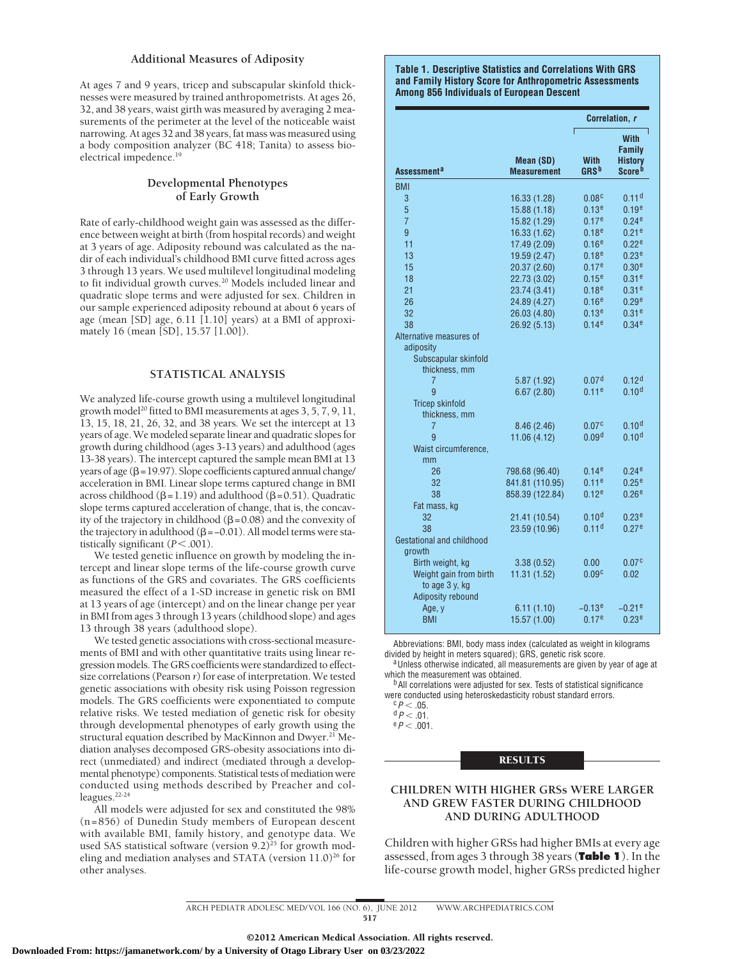## **Additional Measures of Adiposity**

At ages 7 and 9 years, tricep and subscapular skinfold thicknesses were measured by trained anthropometrists. At ages 26, 32, and 38 years, waist girth was measured by averaging 2 measurements of the perimeter at the level of the noticeable waist narrowing. At ages 32 and 38 years, fat mass was measured using a body composition analyzer (BC 418; Tanita) to assess bioelectrical impedence.<sup>19</sup>

# **Developmental Phenotypes of Early Growth**

Rate of early-childhood weight gain was assessed as the difference between weight at birth (from hospital records) and weight at 3 years of age. Adiposity rebound was calculated as the nadir of each individual's childhood BMI curve fitted across ages 3 through 13 years. We used multilevel longitudinal modeling to fit individual growth curves.<sup>20</sup> Models included linear and quadratic slope terms and were adjusted for sex. Children in our sample experienced adiposity rebound at about 6 years of age (mean [SD] age, 6.11 [1.10] years) at a BMI of approximately 16 (mean [SD], 15.57 [1.00]).

#### **STATISTICAL ANALYSIS**

We analyzed life-course growth using a multilevel longitudinal growth model<sup>20</sup> fitted to BMI measurements at ages  $3, 5, 7, 9, 11$ , 13, 15, 18, 21, 26, 32, and 38 years. We set the intercept at 13 years of age. We modeled separate linear and quadratic slopes for growth during childhood (ages 3-13 years) and adulthood (ages 13-38 years). The intercept captured the sample mean BMI at 13 years of age ( $\beta$  = 19.97). Slope coefficients captured annual change/ acceleration in BMI. Linear slope terms captured change in BMI across childhood ( $\beta$ =1.19) and adulthood ( $\beta$ =0.51). Quadratic slope terms captured acceleration of change, that is, the concavity of the trajectory in childhood ( $\beta$  = 0.08) and the convexity of the trajectory in adulthood ( $β = -0.01$ ). All model terms were statistically significant  $(P < .001)$ .

We tested genetic influence on growth by modeling the intercept and linear slope terms of the life-course growth curve as functions of the GRS and covariates. The GRS coefficients measured the effect of a 1-SD increase in genetic risk on BMI at 13 years of age (intercept) and on the linear change per year in BMI from ages 3 through 13 years (childhood slope) and ages 13 through 38 years (adulthood slope).

We tested genetic associations with cross-sectional measurements of BMI and with other quantitative traits using linear regression models. The GRS coefficients were standardized to effectsize correlations (Pearson *r*) for ease of interpretation. We tested genetic associations with obesity risk using Poisson regression models. The GRS coefficients were exponentiated to compute relative risks. We tested mediation of genetic risk for obesity through developmental phenotypes of early growth using the structural equation described by MacKinnon and Dwyer.<sup>21</sup> Mediation analyses decomposed GRS-obesity associations into direct (unmediated) and indirect (mediated through a developmental phenotype) components. Statistical tests of mediation were conducted using methods described by Preacher and colleagues.22-24

All models were adjusted for sex and constituted the 98% (n=856) of Dunedin Study members of European descent with available BMI, family history, and genotype data. We used SAS statistical software (version  $9.2$ )<sup>25</sup> for growth modeling and mediation analyses and STATA (version  $11.0$ )<sup>26</sup> for other analyses.

**Table 1. Descriptive Statistics and Correlations With GRS and Family History Score for Anthropometric Assessments Among 856 Individuals of European Descent**

|                                                                               |                                 | Correlation, r                       |                                                        |
|-------------------------------------------------------------------------------|---------------------------------|--------------------------------------|--------------------------------------------------------|
| Assessment <sup>a</sup>                                                       | Mean (SD)<br><b>Measurement</b> | Г<br><b>With</b><br>GRS <sup>b</sup> | With<br><b>Family</b><br>History<br>Score <sup>b</sup> |
| <b>BMI</b>                                                                    |                                 |                                      |                                                        |
| 3                                                                             | 16.33 (1.28)                    | 0.08 <sup>c</sup>                    | 0.11 <sup>d</sup>                                      |
| 5                                                                             | 15.88 (1.18)                    | 0.13 <sup>e</sup>                    | 0.19 <sup>e</sup>                                      |
| $\overline{7}$                                                                | 15.82 (1.29)                    | 0.17e                                | 0.24e                                                  |
| 9                                                                             | 16.33 (1.62)                    | $0.18^{e}$                           | 0.21 <sup>e</sup>                                      |
| 11                                                                            | 17.49 (2.09)                    | 0.16 <sup>e</sup>                    | 0.22e                                                  |
| 13                                                                            | 19.59 (2.47)                    | 0.18 <sup>e</sup>                    | 0.23 <sup>e</sup>                                      |
| 15                                                                            | 20.37 (2.60)                    | 0.17 <sup>e</sup>                    | 0.30 <sup>e</sup>                                      |
| 18                                                                            | 22.73 (3.02)                    | $0.15^{e}$                           | 0.31e                                                  |
| 21                                                                            | 23.74 (3.41)                    | $0.18^{e}$                           | 0.31e                                                  |
| 26                                                                            | 24.89 (4.27)                    | 0.16e                                | 0.29e                                                  |
| 32                                                                            | 26.03 (4.80)                    | $0.13^{e}$                           | 0.31e                                                  |
| 38                                                                            | 26.92 (5.13)                    | 0.14e                                | 0.34e                                                  |
| Alternative measures of<br>adiposity<br>Subscapular skinfold<br>thickness, mm |                                 |                                      |                                                        |
| 7                                                                             | 5.87(1.92)                      | 0.07 <sup>d</sup>                    | 0.12 <sup>d</sup>                                      |
| 9                                                                             | 6.67(2.80)                      | 0.11e                                | 0.10 <sup>d</sup>                                      |
| <b>Tricep skinfold</b><br>thickness, mm                                       |                                 |                                      |                                                        |
| 7                                                                             | 8.46(2.46)                      | 0.07c                                | 0.10 <sup>d</sup>                                      |
| 9<br>Waist circumference,<br>mm                                               | 11.06 (4.12)                    | 0.09 <sup>d</sup>                    | 0.10 <sup>d</sup>                                      |
| 26                                                                            | 798.68 (96.40)                  | 0.14e                                | 0.24e                                                  |
| 32                                                                            | 841.81 (110.95)                 | $0.11^e$                             | $0.25^{e}$                                             |
| 38                                                                            | 858.39 (122.84)                 | $0.12^{e}$                           | 0.26e                                                  |
| Fat mass, kg                                                                  |                                 |                                      |                                                        |
| 32                                                                            | 21.41 (10.54)                   | 0.10 <sup>d</sup>                    | 0.23 <sup>e</sup>                                      |
| 38                                                                            | 23.59 (10.96)                   | 0.11 <sup>d</sup>                    | 0.27 <sup>e</sup>                                      |
| <b>Gestational and childhood</b><br>growth                                    |                                 |                                      |                                                        |
| Birth weight, kg                                                              | 3.38(0.52)                      | 0.00                                 | 0.07c                                                  |
| Weight gain from birth<br>to age 3 y, kg<br>Adiposity rebound                 | 11.31(1.52)                     | 0.09c                                | 0.02                                                   |
| Age, y                                                                        | 6.11(1.10)                      | $-0.13^{\text{e}}$                   | $-0.21$ <sup>e</sup>                                   |
| <b>BMI</b>                                                                    | 15.57 (1.00)                    | 0.17 <sup>e</sup>                    | $0.23^e$                                               |

Abbreviations: BMI, body mass index (calculated as weight in kilograms

divided by height in meters squared); GRS, genetic risk score.<br><sup>a</sup>Unless otherwise indicated, all measurements are given by year of age at which the measurement was obtained.

<sup>b</sup> All correlations were adjusted for sex. Tests of statistical significance were conducted using heteroskedasticity robust standard errors.<br><sup>c</sup> $P < .05$ .<br><sup>d</sup> $P < .01$ .

- 
- $e^{\theta}P < .001$ .
- 

# RESULTS

# **CHILDREN WITH HIGHER GRSs WERE LARGER AND GREW FASTER DURING CHILDHOOD AND DURING ADULTHOOD**

Children with higher GRSs had higher BMIs at every age assessed, from ages 3 through 38 years (**Table 1**). In the life-course growth model, higher GRSs predicted higher

ARCH PEDIATR ADOLESC MED/ VOL 166 (NO. 6), JUNE 2012 WWW.ARCHPEDIATRICS.COM 517

©2012 American Medical Association. All rights reserved.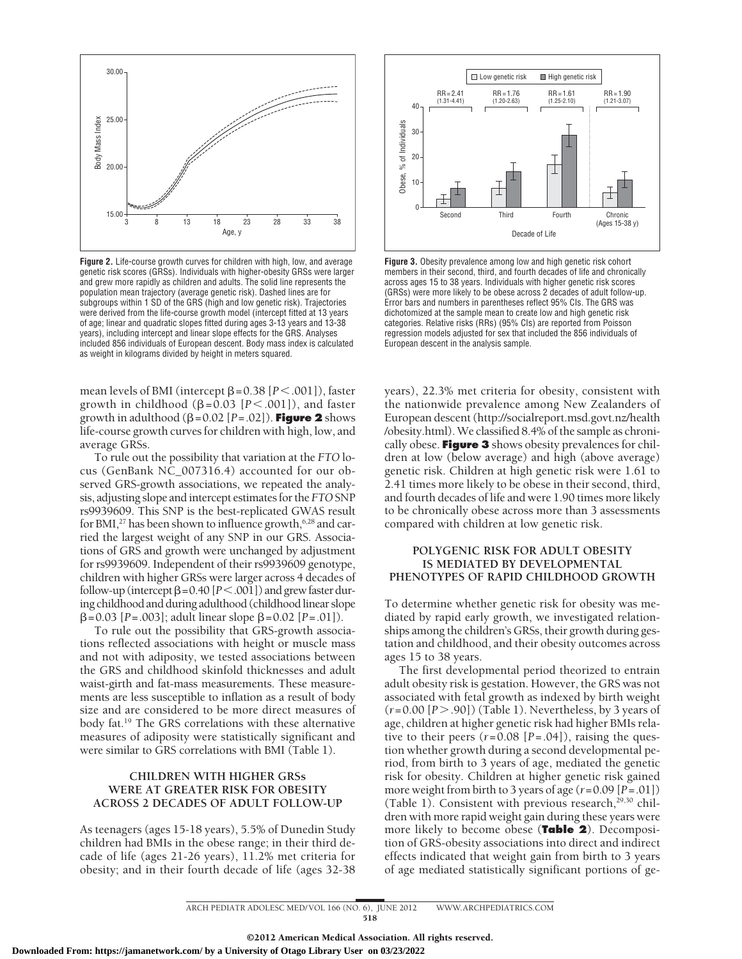

**Figure 2.** Life-course growth curves for children with high, low, and average genetic risk scores (GRSs). Individuals with higher-obesity GRSs were larger and grew more rapidly as children and adults. The solid line represents the population mean trajectory (average genetic risk). Dashed lines are for subgroups within 1 SD of the GRS (high and low genetic risk). Trajectories were derived from the life-course growth model (intercept fitted at 13 years of age; linear and quadratic slopes fitted during ages 3-13 years and 13-38 years), including intercept and linear slope effects for the GRS. Analyses included 856 individuals of European descent. Body mass index is calculated as weight in kilograms divided by height in meters squared.

mean levels of BMI (intercept  $\beta$  = 0.38 [*P* < .001]), faster growth in childhood  $(\beta = 0.03$   $[P < .001]$ ), and faster growth in adulthood  $(\beta = 0.02 [P = .02])$ . **Figure 2** shows life-course growth curves for children with high, low, and average GRSs.

To rule out the possibility that variation at the *FTO* locus (GenBank NC\_007316.4) accounted for our observed GRS-growth associations, we repeated the analysis, adjusting slope and intercept estimates for the *FTO*SNP rs9939609. This SNP is the best-replicated GWAS result for BMI,<sup>27</sup> has been shown to influence growth,  $6,28$  and carried the largest weight of any SNP in our GRS. Associations of GRS and growth were unchanged by adjustment for rs9939609. Independent of their rs9939609 genotype, children with higher GRSs were larger across 4 decades of follow-up (intercept  $\beta$  = 0.40 [*P* < .001]) and grew faster during childhood and during adulthood (childhood linear slope  $\beta$ =0.03 [*P*=.003]; adult linear slope  $\beta$ =0.02 [*P*=.01]).

To rule out the possibility that GRS-growth associations reflected associations with height or muscle mass and not with adiposity, we tested associations between the GRS and childhood skinfold thicknesses and adult waist-girth and fat-mass measurements. These measurements are less susceptible to inflation as a result of body size and are considered to be more direct measures of body fat.19 The GRS correlations with these alternative measures of adiposity were statistically significant and were similar to GRS correlations with BMI (Table 1).

## **CHILDREN WITH HIGHER GRSs WERE AT GREATER RISK FOR OBESITY ACROSS 2 DECADES OF ADULT FOLLOW-UP**

As teenagers (ages 15-18 years), 5.5% of Dunedin Study children had BMIs in the obese range; in their third decade of life (ages 21-26 years), 11.2% met criteria for obesity; and in their fourth decade of life (ages 32-38



**Figure 3.** Obesity prevalence among low and high genetic risk cohort members in their second, third, and fourth decades of life and chronically across ages 15 to 38 years. Individuals with higher genetic risk scores (GRSs) were more likely to be obese across 2 decades of adult follow-up. Error bars and numbers in parentheses reflect 95% CIs. The GRS was dichotomized at the sample mean to create low and high genetic risk categories. Relative risks (RRs) (95% CIs) are reported from Poisson regression models adjusted for sex that included the 856 individuals of European descent in the analysis sample.

years), 22.3% met criteria for obesity, consistent with the nationwide prevalence among New Zealanders of European descent (http://socialreport.msd.govt.nz/health /obesity.html). We classified 8.4% of the sample as chronically obese. **Figure 3** shows obesity prevalences for children at low (below average) and high (above average) genetic risk. Children at high genetic risk were 1.61 to 2.41 times more likely to be obese in their second, third, and fourth decades of life and were 1.90 times more likely to be chronically obese across more than 3 assessments compared with children at low genetic risk.

# **POLYGENIC RISK FOR ADULT OBESITY IS MEDIATED BY DEVELOPMENTAL PHENOTYPES OF RAPID CHILDHOOD GROWTH**

To determine whether genetic risk for obesity was mediated by rapid early growth, we investigated relationships among the children's GRSs, their growth during gestation and childhood, and their obesity outcomes across ages 15 to 38 years.

The first developmental period theorized to entrain adult obesity risk is gestation. However, the GRS was not associated with fetal growth as indexed by birth weight (*r*=0.00 [*P*-.90]) (Table 1). Nevertheless, by 3 years of age, children at higher genetic risk had higher BMIs relative to their peers (*r*=0.08 [*P*=.04]), raising the question whether growth during a second developmental period, from birth to 3 years of age, mediated the genetic risk for obesity. Children at higher genetic risk gained more weight from birth to 3 years of age (*r*=0.09 [*P*=.01]) (Table 1). Consistent with previous research, $29,30$  children with more rapid weight gain during these years were more likely to become obese (**Table 2**). Decomposition of GRS-obesity associations into direct and indirect effects indicated that weight gain from birth to 3 years of age mediated statistically significant portions of ge-

ARCH PEDIATR ADOLESC MED/ VOL 166 (NO. 6), JUNE 2012 WWW.ARCHPEDIATRICS.COM 518

**Downloaded From: https://jamanetwork.com/ by a University of Otago Library User on 03/23/2022**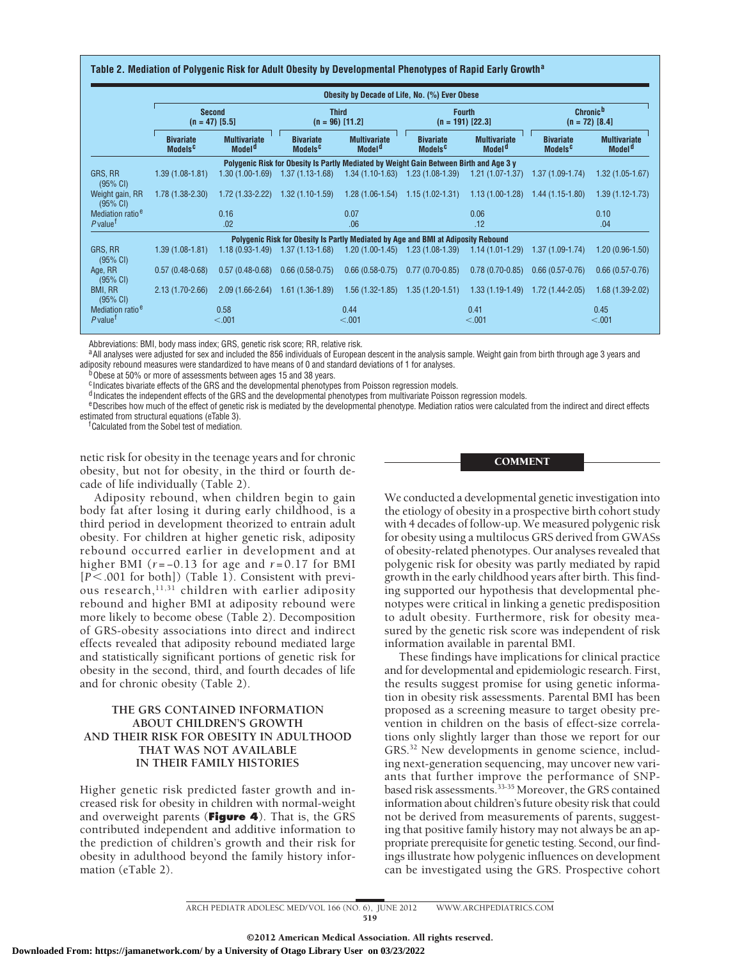|                              | Obesity by Decade of Life, No. (%) Ever Obese |                                           |                                                                                        |                                           |                                               |                                           |                                               |                                           |  |  |  |
|------------------------------|-----------------------------------------------|-------------------------------------------|----------------------------------------------------------------------------------------|-------------------------------------------|-----------------------------------------------|-------------------------------------------|-----------------------------------------------|-------------------------------------------|--|--|--|
|                              | <b>Second</b><br>$(n = 47)$ [5.5]             |                                           | <b>Third</b><br>$(n = 96)$ [11.2]                                                      |                                           | <b>Fourth</b><br>$(n = 191)$ [22.3]           |                                           | Chronic <sup>b</sup><br>$(n = 72)$ [8.4]      |                                           |  |  |  |
|                              | <b>Bivariate</b><br><b>Models<sup>c</sup></b> | <b>Multivariate</b><br>Model <sup>d</sup> | <b>Bivariate</b><br><b>Models<sup>c</sup></b>                                          | <b>Multivariate</b><br>Model <sup>d</sup> | <b>Bivariate</b><br><b>Models<sup>c</sup></b> | <b>Multivariate</b><br>Model <sup>d</sup> | <b>Bivariate</b><br><b>Models<sup>c</sup></b> | <b>Multivariate</b><br>Model <sup>d</sup> |  |  |  |
|                              |                                               |                                           | Polygenic Risk for Obesity Is Partly Mediated by Weight Gain Between Birth and Age 3 y |                                           |                                               |                                           |                                               |                                           |  |  |  |
| GRS, RR<br>(95% CI)          | $1.39(1.08-1.81)$                             |                                           | $1.30(1.00-1.69)$ $1.37(1.13-1.68)$                                                    |                                           | $1.34(1.10-1.63)$ $1.23(1.08-1.39)$           | $1.21(1.07-1.37)$                         | $1.37(1.09-1.74)$                             | $1.32(1.05-1.67)$                         |  |  |  |
| Weight gain, RR<br>(95% CI)  | $1.78(1.38-2.30)$                             | $1.72(1.33 - 2.22)$                       | $1.32(1.10-1.59)$                                                                      |                                           | $1.28(1.06-1.54)$ $1.15(1.02-1.31)$           | $1.13(1.00-1.28)$                         | $1.44(1.15-1.80)$                             | $1.39(1.12 - 1.73)$                       |  |  |  |
| Mediation ratio <sup>e</sup> |                                               | 0.16                                      |                                                                                        | 0.07                                      |                                               | 0.06                                      |                                               | 0.10                                      |  |  |  |
| $P$ value <sup>t</sup>       |                                               | .02                                       |                                                                                        | .06                                       |                                               | .12                                       |                                               | .04                                       |  |  |  |
|                              |                                               |                                           | Polygenic Risk for Obesity Is Partly Mediated by Age and BMI at Adiposity Rebound      |                                           |                                               |                                           |                                               |                                           |  |  |  |
| GRS, RR<br>(95% CI)          | $1.39(1.08-1.81)$                             |                                           | $1.18(0.93 - 1.49)$ $1.37(1.13 - 1.68)$                                                |                                           | $1.20(1.00-1.45)$ $1.23(1.08-1.39)$           | $1.14(1.01-1.29)$                         | $1.37(1.09-1.74)$                             | $1.20(0.96-1.50)$                         |  |  |  |
| Age, RR<br>(95% CI)          | $0.57(0.48-0.68)$                             | $0.57(0.48-0.68)$                         | $0.66(0.58-0.75)$                                                                      | $0.66(0.58-0.75)$                         | $0.77(0.70-0.85)$                             | $0.78(0.70-0.85)$                         | $0.66(0.57-0.76)$                             | $0.66(0.57-0.76)$                         |  |  |  |
| BMI, RR<br>(95% CI)          | $2.13(1.70-2.66)$                             | $2.09(1.66 - 2.64)$                       | $1.61(1.36-1.89)$                                                                      |                                           | $1.56(1.32-1.85)$ $1.35(1.20-1.51)$           | $1.33(1.19-1.49)$                         | $1.72(1.44 - 2.05)$                           | $1.68(1.39-2.02)$                         |  |  |  |
| Mediation ratio <sup>e</sup> |                                               | 0.58                                      |                                                                                        | 0.44                                      |                                               | 0.41                                      |                                               | 0.45                                      |  |  |  |
| $P$ value <sup>t</sup>       |                                               | < .001                                    |                                                                                        | < .001                                    |                                               | < .001                                    |                                               | < .001                                    |  |  |  |

Abbreviations: BMI, body mass index; GRS, genetic risk score; RR, relative risk.

a All analyses were adjusted for sex and included the 856 individuals of European descent in the analysis sample. Weight gain from birth through age 3 years and adiposity rebound measures were standardized to have means of 0 and standard deviations of 1 for analyses.<br><sup>b</sup>Obese at 50% or more of assessments between ages 15 and 38 years.

<sup>c</sup> Indicates bivariate effects of the GRS and the developmental phenotypes from Poisson regression models.

 $<sup>d</sup>$  Indicates the independent effects of the GRS and the developmental phenotypes from multivariate Poisson regression models.</sup>

 $^{\circ}$  Describes how much of the effect of genetic risk is mediated by the developmental phenotype. Mediation ratios were calculated from the indirect and direct effects estimated from structural equations (eTable 3).

estimated from structural equations (eTable 3).<br><sup>f</sup>Calculated from the Sobel test of mediation.

netic risk for obesity in the teenage years and for chronic obesity, but not for obesity, in the third or fourth decade of life individually (Table 2).

Adiposity rebound, when children begin to gain body fat after losing it during early childhood, is a third period in development theorized to entrain adult obesity. For children at higher genetic risk, adiposity rebound occurred earlier in development and at higher BMI (*r* =−0.13 for age and *r* =0.17 for BMI [ $P$ <.001 for both]) (Table 1). Consistent with previous research,<sup>11,31</sup> children with earlier adiposity rebound and higher BMI at adiposity rebound were more likely to become obese (Table 2). Decomposition of GRS-obesity associations into direct and indirect effects revealed that adiposity rebound mediated large and statistically significant portions of genetic risk for obesity in the second, third, and fourth decades of life and for chronic obesity (Table 2).

# **THE GRS CONTAINED INFORMATION ABOUT CHILDREN'S GROWTH AND THEIR RISK FOR OBESITY IN ADULTHOOD THAT WAS NOT AVAILABLE IN THEIR FAMILY HISTORIES**

Higher genetic risk predicted faster growth and increased risk for obesity in children with normal-weight and overweight parents (**Figure 4**). That is, the GRS contributed independent and additive information to the prediction of children's growth and their risk for obesity in adulthood beyond the family history information (eTable 2).

We conducted a developmental genetic investigation into the etiology of obesity in a prospective birth cohort study with 4 decades of follow-up. We measured polygenic risk for obesity using a multilocus GRS derived from GWASs of obesity-related phenotypes. Our analyses revealed that polygenic risk for obesity was partly mediated by rapid growth in the early childhood years after birth. This finding supported our hypothesis that developmental phenotypes were critical in linking a genetic predisposition to adult obesity. Furthermore, risk for obesity measured by the genetic risk score was independent of risk information available in parental BMI.

These findings have implications for clinical practice and for developmental and epidemiologic research. First, the results suggest promise for using genetic information in obesity risk assessments. Parental BMI has been proposed as a screening measure to target obesity prevention in children on the basis of effect-size correlations only slightly larger than those we report for our GRS.32 New developments in genome science, including next-generation sequencing, may uncover new variants that further improve the performance of SNPbased risk assessments.<sup>33-35</sup> Moreover, the GRS contained information about children's future obesity risk that could not be derived from measurements of parents, suggesting that positive family history may not always be an appropriate prerequisite for genetic testing. Second, our findings illustrate how polygenic influences on development can be investigated using the GRS. Prospective cohort

ARCH PEDIATR ADOLESC MED/ VOL 166 (NO. 6), JUNE 2012 WWW.ARCHPEDIATRICS.COM 519

# ©2012 American Medical Association. All rights reserved.

**Downloaded From: https://jamanetwork.com/ by a University of Otago Library User on 03/23/2022**

**COMMENT**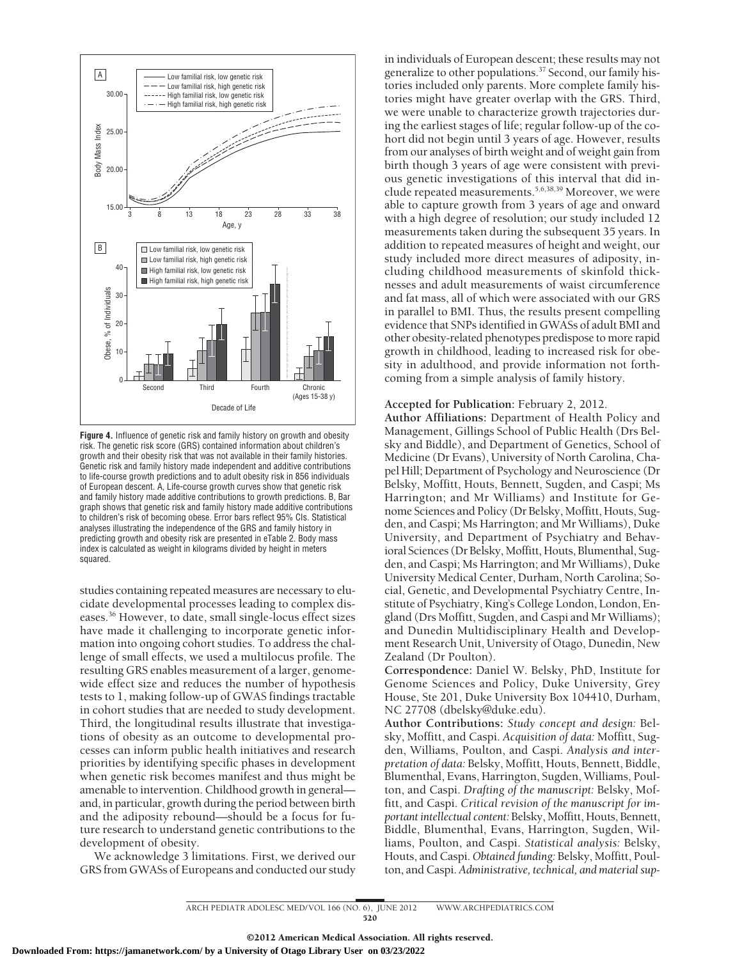

**Figure 4.** Influence of genetic risk and family history on growth and obesity risk. The genetic risk score (GRS) contained information about children's growth and their obesity risk that was not available in their family histories. Genetic risk and family history made independent and additive contributions to life-course growth predictions and to adult obesity risk in 856 individuals of European descent. A, Life-course growth curves show that genetic risk and family history made additive contributions to growth predictions. B, Bar graph shows that genetic risk and family history made additive contributions to children's risk of becoming obese. Error bars reflect 95% CIs. Statistical analyses illustrating the independence of the GRS and family history in predicting growth and obesity risk are presented in eTable 2. Body mass index is calculated as weight in kilograms divided by height in meters squared.

studies containing repeated measures are necessary to elucidate developmental processes leading to complex diseases.36 However, to date, small single-locus effect sizes have made it challenging to incorporate genetic information into ongoing cohort studies. To address the challenge of small effects, we used a multilocus profile. The resulting GRS enables measurement of a larger, genomewide effect size and reduces the number of hypothesis tests to 1, making follow-up of GWAS findings tractable in cohort studies that are needed to study development. Third, the longitudinal results illustrate that investigations of obesity as an outcome to developmental processes can inform public health initiatives and research priorities by identifying specific phases in development when genetic risk becomes manifest and thus might be amenable to intervention. Childhood growth in general and, in particular, growth during the period between birth and the adiposity rebound—should be a focus for future research to understand genetic contributions to the development of obesity.

We acknowledge 3 limitations. First, we derived our GRS from GWASs of Europeans and conducted our study

in individuals of European descent; these results may not generalize to other populations.<sup>37</sup> Second, our family histories included only parents. More complete family histories might have greater overlap with the GRS. Third, we were unable to characterize growth trajectories during the earliest stages of life; regular follow-up of the cohort did not begin until 3 years of age. However, results from our analyses of birth weight and of weight gain from birth though 3 years of age were consistent with previous genetic investigations of this interval that did indus generic investigations of the access of the cover, we were able to capture growth from 3 years of age and onward with a high degree of resolution; our study included 12 measurements taken during the subsequent 35 years. In addition to repeated measures of height and weight, our study included more direct measures of adiposity, including childhood measurements of skinfold thicknesses and adult measurements of waist circumference and fat mass, all of which were associated with our GRS in parallel to BMI. Thus, the results present compelling evidence that SNPs identified in GWASs of adult BMI and other obesity-related phenotypes predispose to more rapid growth in childhood, leading to increased risk for obesity in adulthood, and provide information not forthcoming from a simple analysis of family history.

**Accepted for Publication:** February 2, 2012.

**Author Affiliations:** Department of Health Policy and Management, Gillings School of Public Health (Drs Belsky and Biddle), and Department of Genetics, School of Medicine (Dr Evans), University of North Carolina, Chapel Hill; Department of Psychology and Neuroscience (Dr Belsky, Moffitt, Houts, Bennett, Sugden, and Caspi; Ms Harrington; and Mr Williams) and Institute for Genome Sciences and Policy (Dr Belsky, Moffitt, Houts, Sugden, and Caspi; Ms Harrington; and Mr Williams), Duke University, and Department of Psychiatry and Behavioral Sciences (Dr Belsky, Moffitt, Houts, Blumenthal, Sugden, and Caspi; Ms Harrington; and Mr Williams), Duke University Medical Center, Durham, North Carolina; Social, Genetic, and Developmental Psychiatry Centre, Institute of Psychiatry, King's College London, London, England (Drs Moffitt, Sugden, and Caspi and Mr Williams); and Dunedin Multidisciplinary Health and Development Research Unit, University of Otago, Dunedin, New Zealand (Dr Poulton).

**Correspondence:** Daniel W. Belsky, PhD, Institute for Genome Sciences and Policy, Duke University, Grey House, Ste 201, Duke University Box 104410, Durham, NC 27708 (dbelsky@duke.edu).

**Author Contributions:** *Study concept and design:* Belsky, Moffitt, and Caspi. *Acquisition of data:* Moffitt, Sugden, Williams, Poulton, and Caspi. *Analysis and interpretation of data:* Belsky, Moffitt, Houts, Bennett, Biddle, Blumenthal, Evans, Harrington, Sugden, Williams, Poulton, and Caspi. *Drafting of the manuscript:* Belsky, Moffitt, and Caspi. *Critical revision of the manuscript for important intellectual content:* Belsky, Moffitt, Houts, Bennett, Biddle, Blumenthal, Evans, Harrington, Sugden, Williams, Poulton, and Caspi. *Statistical analysis:* Belsky, Houts, and Caspi. *Obtained funding:* Belsky, Moffitt, Poulton, and Caspi. *Administrative, technical, and material sup-*

ARCH PEDIATR ADOLESC MED/ VOL 166 (NO. 6), JUNE 2012 WWW.ARCHPEDIATRICS.COM 520

©2012 American Medical Association. All rights reserved.